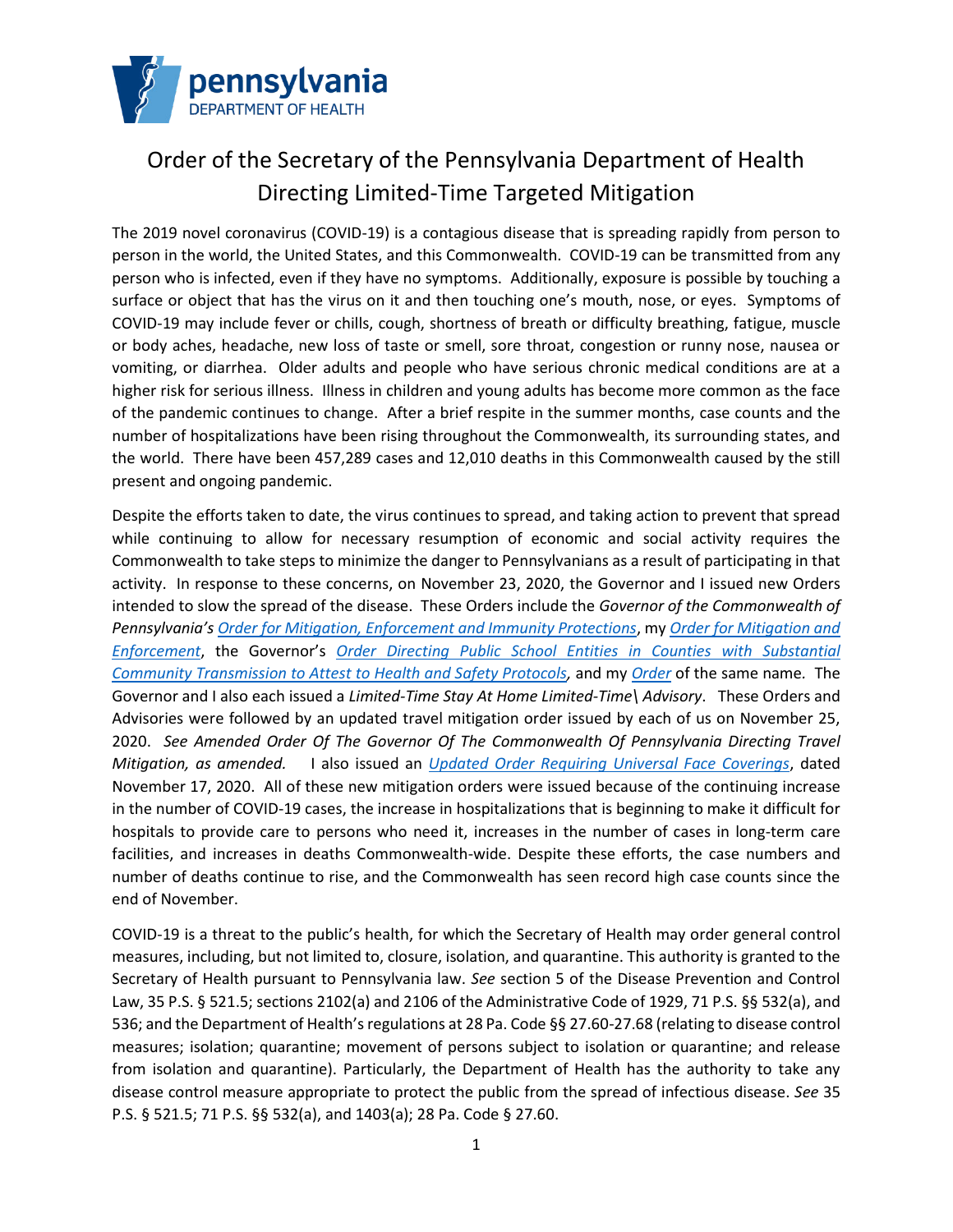

# Order of the Secretary of the Pennsylvania Department of Health Directing Limited-Time Targeted Mitigation

The 2019 novel coronavirus (COVID-19) is a contagious disease that is spreading rapidly from person to person in the world, the United States, and this Commonwealth. COVID-19 can be transmitted from any person who is infected, even if they have no symptoms. Additionally, exposure is possible by touching a surface or object that has the virus on it and then touching one's mouth, nose, or eyes. Symptoms of COVID-19 may include fever or chills, cough, shortness of breath or difficulty breathing, fatigue, muscle or body aches, headache, new loss of taste or smell, sore throat, congestion or runny nose, nausea or vomiting, or diarrhea. Older adults and people who have serious chronic medical conditions are at a higher risk for serious illness. Illness in children and young adults has become more common as the face of the pandemic continues to change. After a brief respite in the summer months, case counts and the number of hospitalizations have been rising throughout the Commonwealth, its surrounding states, and the world. There have been 457,289 cases and 12,010 deaths in this Commonwealth caused by the still present and ongoing pandemic.

Despite the efforts taken to date, the virus continues to spread, and taking action to prevent that spread while continuing to allow for necessary resumption of economic and social activity requires the Commonwealth to take steps to minimize the danger to Pennsylvanians as a result of participating in that activity. In response to these concerns, on November 23, 2020, the Governor and I issued new Orders intended to slow the spread of the disease. These Orders include the *Governor of the Commonwealth of Pennsylvania's Order for Mitigation, Enforcement and Immunity Protections*, my *Order for Mitigation and Enforcement*, the Governor's *Order Directing Public School Entities in Counties with Substantial Community Transmission to Attest to Health and Safety Protocols,* and my *Order* of the same name*.* The Governor and I also each issued a *Limited-Time Stay At Home Limited-Time\ Advisory*. These Orders and Advisories were followed by an updated travel mitigation order issued by each of us on November 25, 2020. *See Amended Order Of The Governor Of The Commonwealth Of Pennsylvania Directing Travel Mitigation, as amended.* I also issued an *Updated Order Requiring Universal Face Coverings*, dated November 17, 2020. All of these new mitigation orders were issued because of the continuing increase in the number of COVID-19 cases, the increase in hospitalizations that is beginning to make it difficult for hospitals to provide care to persons who need it, increases in the number of cases in long-term care facilities, and increases in deaths Commonwealth-wide. Despite these efforts, the case numbers and number of deaths continue to rise, and the Commonwealth has seen record high case counts since the end of November.

COVID-19 is a threat to the public's health, for which the Secretary of Health may order general control measures, including, but not limited to, closure, isolation, and quarantine. This authority is granted to the Secretary of Health pursuant to Pennsylvania law. *See* section 5 of the Disease Prevention and Control Law, 35 P.S. § 521.5; sections 2102(a) and 2106 of the Administrative Code of 1929, 71 P.S. §§ 532(a), and 536; and the Department of Health's regulations at 28 Pa. Code §§ 27.60-27.68 (relating to disease control measures; isolation; quarantine; movement of persons subject to isolation or quarantine; and release from isolation and quarantine). Particularly, the Department of Health has the authority to take any disease control measure appropriate to protect the public from the spread of infectious disease. *See* 35 P.S. § 521.5; 71 P.S. §§ 532(a), and 1403(a); 28 Pa. Code § 27.60.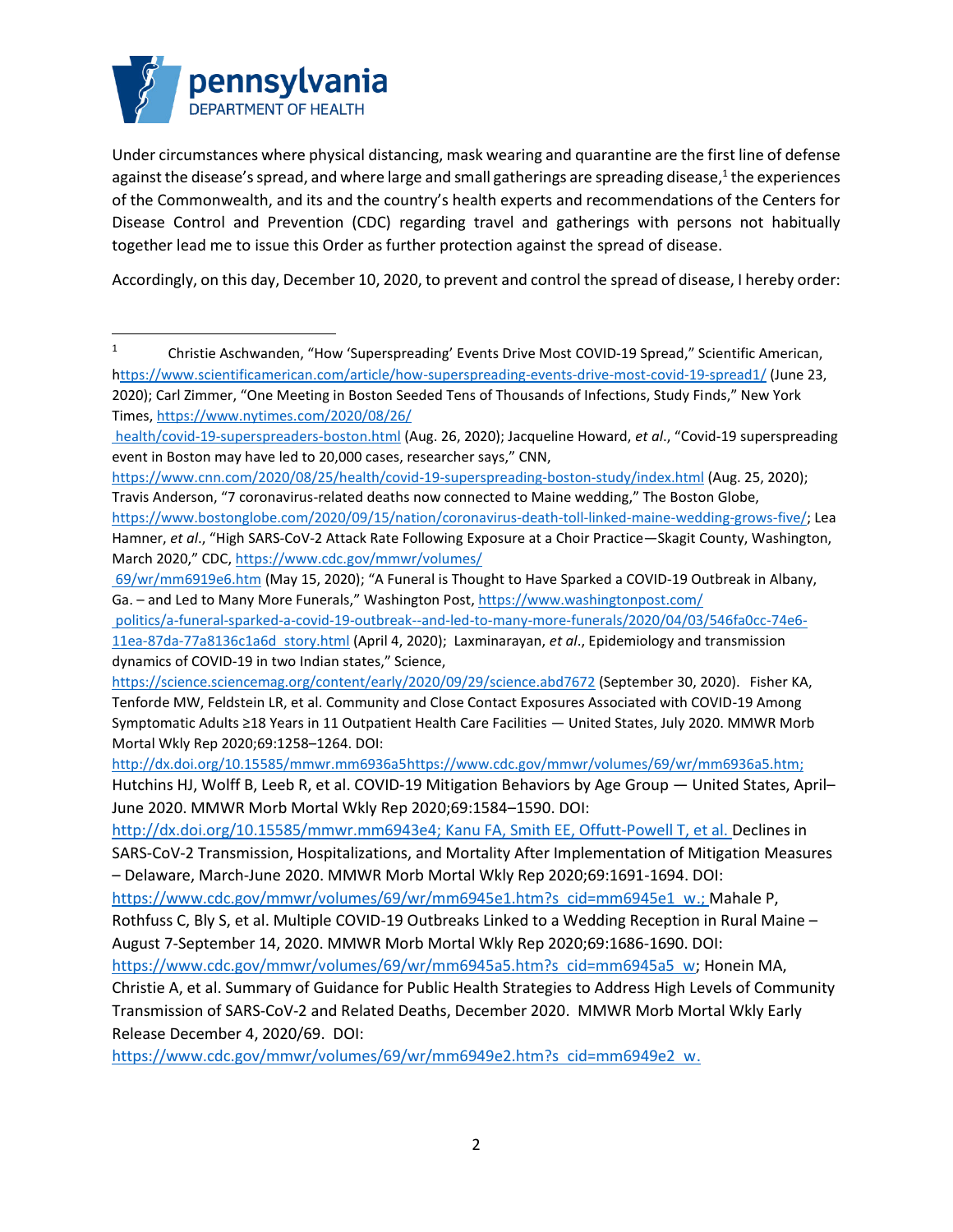

Under circumstances where physical distancing, mask wearing and quarantine are the first line of defense against the disease's spread, and where large and small gatherings are spreading disease, $^1$  the experiences of the Commonwealth, and its and the country's health experts and recommendations of the Centers for Disease Control and Prevention (CDC) regarding travel and gatherings with persons not habitually together lead me to issue this Order as further protection against the spread of disease.

Accordingly, on this day, December 10, 2020, to prevent and control the spread of disease, I hereby order:

https://www.cdc.gov/mmwr/volumes/69/wr/mm6949e2.htm?s cid=mm6949e2 w.

<sup>&</sup>lt;sup>1</sup> Christie Aschwanden, "How 'Superspreading' Events Drive Most COVID-19 Spread," Scientific American, https://www.scientificamerican.com/article/how-superspreading-events-drive-most-covid-19-spread1/ (June 23, 2020); Carl Zimmer, "One Meeting in Boston Seeded Tens of Thousands of Infections, Study Finds," New York Times, https://www.nytimes.com/2020/08/26/

health/covid-19-superspreaders-boston.html (Aug. 26, 2020); Jacqueline Howard, *et al*., "Covid-19 superspreading event in Boston may have led to 20,000 cases, researcher says," CNN,

https://www.cnn.com/2020/08/25/health/covid-19-superspreading-boston-study/index.html (Aug. 25, 2020); Travis Anderson, "7 coronavirus-related deaths now connected to Maine wedding," The Boston Globe, https://www.bostonglobe.com/2020/09/15/nation/coronavirus-death-toll-linked-maine-wedding-grows-five/; Lea Hamner, *et al*., "High SARS-CoV-2 Attack Rate Following Exposure at a Choir Practice—Skagit County, Washington, March 2020," CDC, https://www.cdc.gov/mmwr/volumes/

<sup>69/</sup>wr/mm6919e6.htm (May 15, 2020); "A Funeral is Thought to Have Sparked a COVID-19 Outbreak in Albany, Ga. - and Led to Many More Funerals," Washington Post, https://www.washingtonpost.com/

politics/a-funeral-sparked-a-covid-19-outbreak--and-led-to-many-more-funerals/2020/04/03/546fa0cc-74e6-

<sup>11</sup>ea-87da-77a8136c1a6d story.html (April 4, 2020); Laxminarayan, *et al*., Epidemiology and transmission dynamics of COVID-19 in two Indian states," Science,

https://science.sciencemag.org/content/early/2020/09/29/science.abd7672 (September 30, 2020). Fisher KA, Tenforde MW, Feldstein LR, et al. Community and Close Contact Exposures Associated with COVID-19 Among Symptomatic Adults ≥18 Years in 11 Outpatient Health Care Facilities — United States, July 2020. MMWR Morb Mortal Wkly Rep 2020;69:1258–1264. DOI:

http://dx.doi.org/10.15585/mmwr.mm6936a5https://www.cdc.gov/mmwr/volumes/69/wr/mm6936a5.htm; Hutchins HJ, Wolff B, Leeb R, et al. COVID-19 Mitigation Behaviors by Age Group — United States, April– June 2020. MMWR Morb Mortal Wkly Rep 2020;69:1584–1590. DOI:

http://dx.doi.org/10.15585/mmwr.mm6943e4; Kanu FA, Smith EE, Offutt-Powell T, et al. Declines in

SARS-CoV-2 Transmission, Hospitalizations, and Mortality After Implementation of Mitigation Measures – Delaware, March-June 2020. MMWR Morb Mortal Wkly Rep 2020;69:1691-1694. DOI:

https://www.cdc.gov/mmwr/volumes/69/wr/mm6945e1.htm?s cid=mm6945e1 w.; Mahale P,

Rothfuss C, Bly S, et al. Multiple COVID-19 Outbreaks Linked to a Wedding Reception in Rural Maine – August 7-September 14, 2020. MMWR Morb Mortal Wkly Rep 2020;69:1686-1690. DOI:

https://www.cdc.gov/mmwr/volumes/69/wr/mm6945a5.htm?s cid=mm6945a5 w; Honein MA,

Christie A, et al. Summary of Guidance for Public Health Strategies to Address High Levels of Community Transmission of SARS-CoV-2 and Related Deaths, December 2020. MMWR Morb Mortal Wkly Early Release December 4, 2020/69. DOI: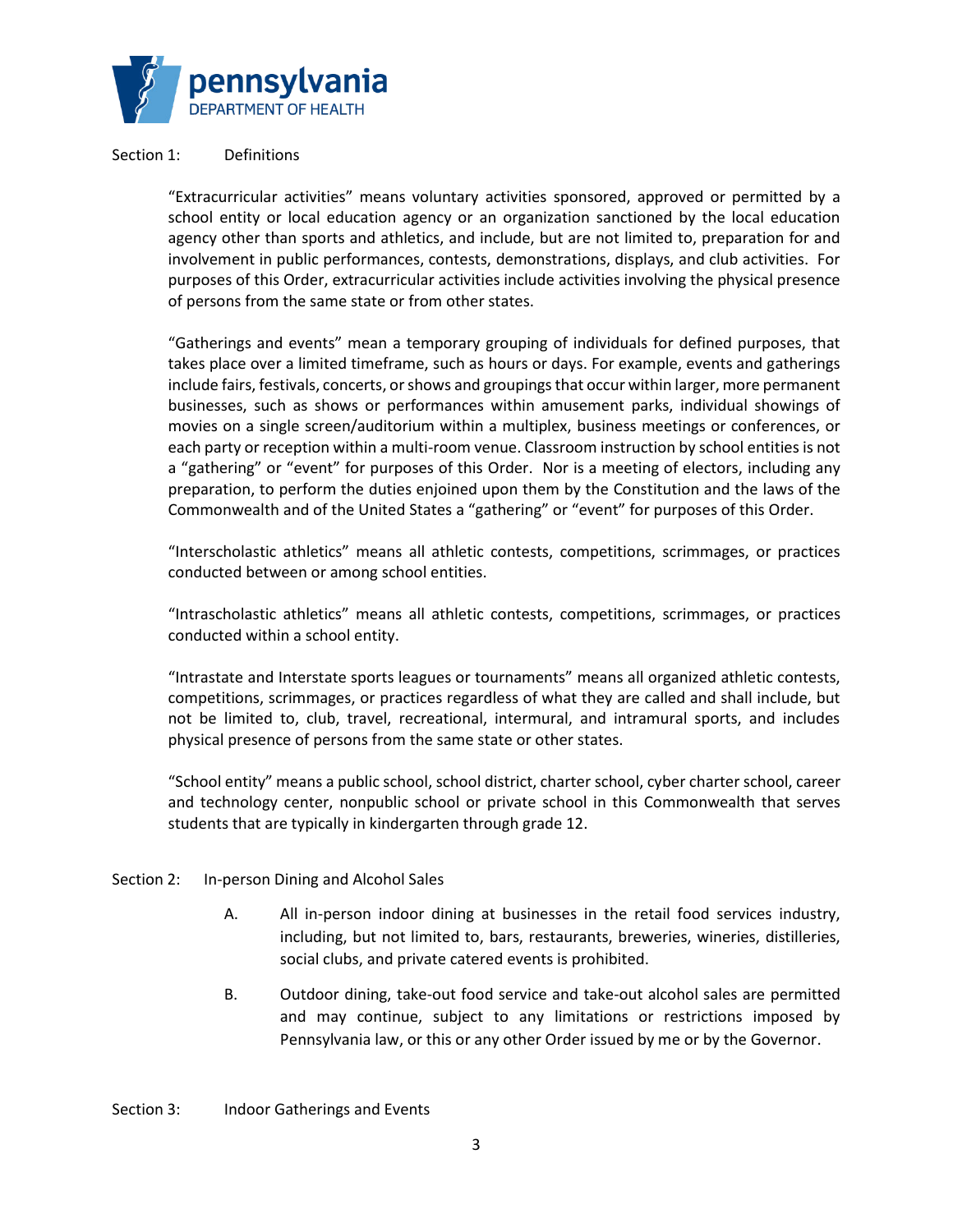

### Section 1: Definitions

"Extracurricular activities" means voluntary activities sponsored, approved or permitted by a school entity or local education agency or an organization sanctioned by the local education agency other than sports and athletics, and include, but are not limited to, preparation for and involvement in public performances, contests, demonstrations, displays, and club activities. For purposes of this Order, extracurricular activities include activities involving the physical presence of persons from the same state or from other states.

"Gatherings and events" mean a temporary grouping of individuals for defined purposes, that takes place over a limited timeframe, such as hours or days. For example, events and gatherings include fairs, festivals, concerts, or shows and groupings that occur within larger, more permanent businesses, such as shows or performances within amusement parks, individual showings of movies on a single screen/auditorium within a multiplex, business meetings or conferences, or each party or reception within a multi-room venue. Classroom instruction by school entities is not a "gathering" or "event" for purposes of this Order. Nor is a meeting of electors, including any preparation, to perform the duties enjoined upon them by the Constitution and the laws of the Commonwealth and of the United States a "gathering" or "event" for purposes of this Order.

"Interscholastic athletics" means all athletic contests, competitions, scrimmages, or practices conducted between or among school entities.

"Intrascholastic athletics" means all athletic contests, competitions, scrimmages, or practices conducted within a school entity.

"Intrastate and Interstate sports leagues or tournaments" means all organized athletic contests, competitions, scrimmages, or practices regardless of what they are called and shall include, but not be limited to, club, travel, recreational, intermural, and intramural sports, and includes physical presence of persons from the same state or other states.

"School entity" means a public school, school district, charter school, cyber charter school, career and technology center, nonpublic school or private school in this Commonwealth that serves students that are typically in kindergarten through grade 12.

#### Section 2: In-person Dining and Alcohol Sales

- A. All in-person indoor dining at businesses in the retail food services industry, including, but not limited to, bars, restaurants, breweries, wineries, distilleries, social clubs, and private catered events is prohibited.
- B. Outdoor dining, take-out food service and take-out alcohol sales are permitted and may continue, subject to any limitations or restrictions imposed by Pennsylvania law, or this or any other Order issued by me or by the Governor.

Section 3: Indoor Gatherings and Events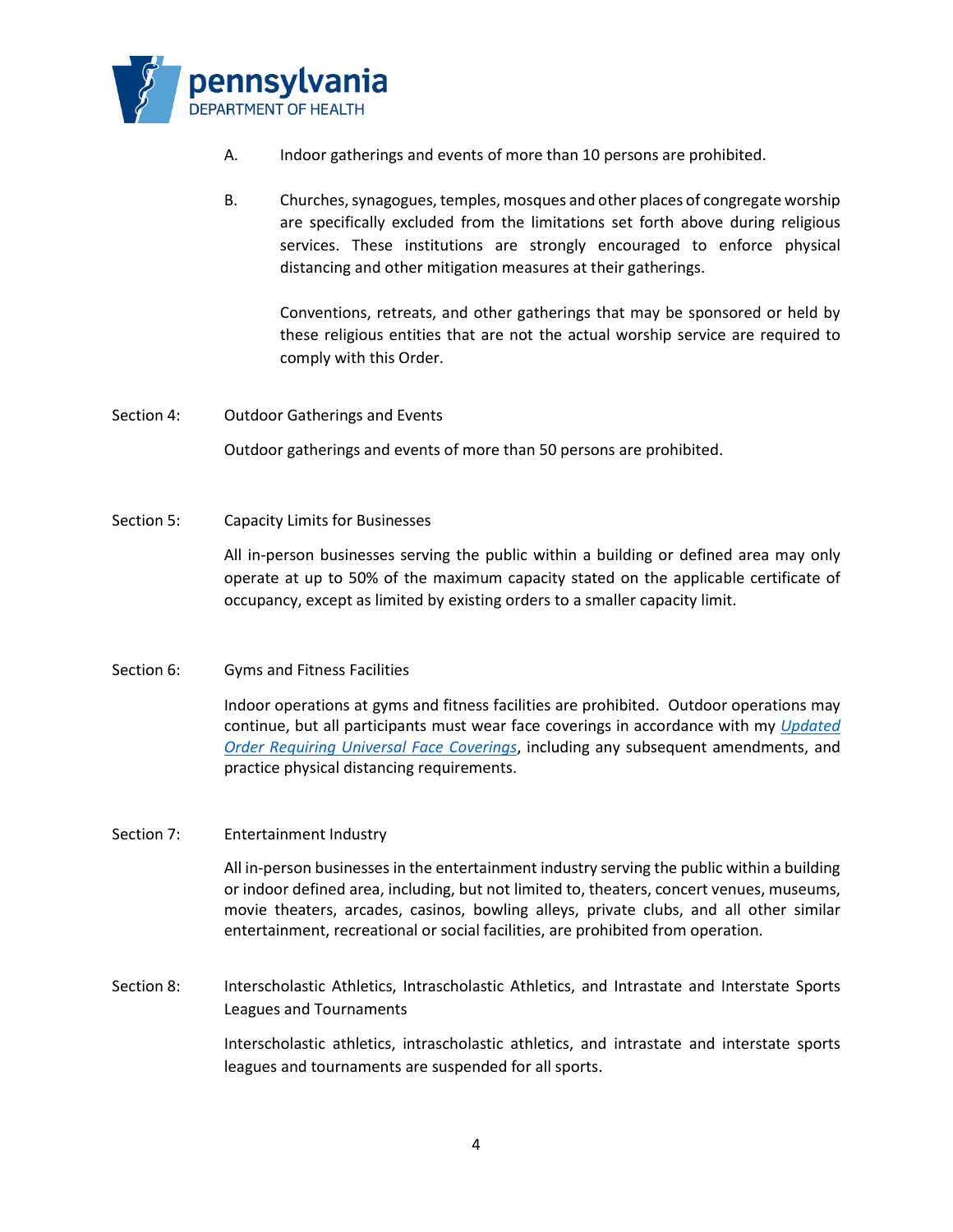

- A. Indoor gatherings and events of more than 10 persons are prohibited.
- B. Churches, synagogues, temples, mosques and other places of congregate worship are specifically excluded from the limitations set forth above during religious services. These institutions are strongly encouraged to enforce physical distancing and other mitigation measures at their gatherings.

Conventions, retreats, and other gatherings that may be sponsored or held by these religious entities that are not the actual worship service are required to comply with this Order.

- Section 4: Outdoor Gatherings and Events Outdoor gatherings and events of more than 50 persons are prohibited.
- Section 5: Capacity Limits for Businesses

All in-person businesses serving the public within a building or defined area may only operate at up to 50% of the maximum capacity stated on the applicable certificate of occupancy, except as limited by existing orders to a smaller capacity limit.

## Section 6: Gyms and Fitness Facilities

Indoor operations at gyms and fitness facilities are prohibited. Outdoor operations may continue, but all participants must wear face coverings in accordance with my *Updated Order Requiring Universal Face Coverings*, including any subsequent amendments, and practice physical distancing requirements.

#### Section 7: Entertainment Industry

All in-person businesses in the entertainment industry serving the public within a building or indoor defined area, including, but not limited to, theaters, concert venues, museums, movie theaters, arcades, casinos, bowling alleys, private clubs, and all other similar entertainment, recreational or social facilities, are prohibited from operation.

Section 8: Interscholastic Athletics, Intrascholastic Athletics, and Intrastate and Interstate Sports Leagues and Tournaments

> Interscholastic athletics, intrascholastic athletics, and intrastate and interstate sports leagues and tournaments are suspended for all sports.